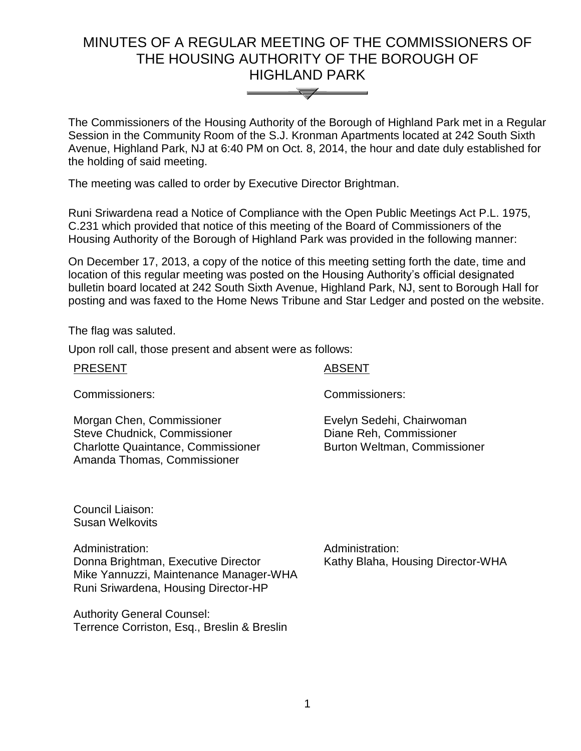# MINUTES OF A REGULAR MEETING OF THE COMMISSIONERS OF THE HOUSING AUTHORITY OF THE BOROUGH OF HIGHLAND PARK



The Commissioners of the Housing Authority of the Borough of Highland Park met in a Regular Session in the Community Room of the S.J. Kronman Apartments located at 242 South Sixth Avenue, Highland Park, NJ at 6:40 PM on Oct. 8, 2014, the hour and date duly established for the holding of said meeting.

The meeting was called to order by Executive Director Brightman.

Runi Sriwardena read a Notice of Compliance with the Open Public Meetings Act P.L. 1975, C.231 which provided that notice of this meeting of the Board of Commissioners of the Housing Authority of the Borough of Highland Park was provided in the following manner:

On December 17, 2013, a copy of the notice of this meeting setting forth the date, time and location of this regular meeting was posted on the Housing Authority's official designated bulletin board located at 242 South Sixth Avenue, Highland Park, NJ, sent to Borough Hall for posting and was faxed to the Home News Tribune and Star Ledger and posted on the website.

The flag was saluted.

Upon roll call, those present and absent were as follows:

| <b>PRESENT</b> |  |
|----------------|--|
|                |  |

#### **ABSENT**

Commissioners: Commissioners:

Morgan Chen, Commissioner Steve Chudnick, Commissioner Charlotte Quaintance, Commissioner Amanda Thomas, Commissioner

Evelyn Sedehi, Chairwoman Diane Reh, Commissioner Burton Weltman, Commissioner

Council Liaison: Susan Welkovits

Administration: Administration: Donna Brightman, Executive Director Mike Yannuzzi, Maintenance Manager-WHA Runi Sriwardena, Housing Director-HP

Authority General Counsel: Terrence Corriston, Esq., Breslin & Breslin Kathy Blaha, Housing Director-WHA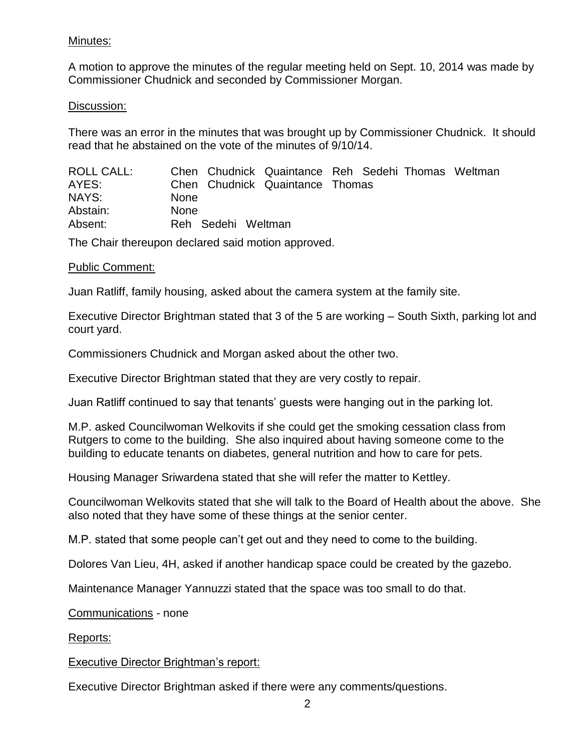# Minutes:

A motion to approve the minutes of the regular meeting held on Sept. 10, 2014 was made by Commissioner Chudnick and seconded by Commissioner Morgan.

# Discussion:

There was an error in the minutes that was brought up by Commissioner Chudnick. It should read that he abstained on the vote of the minutes of 9/10/14.

| ROLL CALL: |             |                    | Chen Chudnick Quaintance Reh Sedehi Thomas Weltman |  |  |
|------------|-------------|--------------------|----------------------------------------------------|--|--|
| AYES:      |             |                    | Chen Chudnick Quaintance Thomas                    |  |  |
| NAYS:      | <b>None</b> |                    |                                                    |  |  |
| Abstain:   | <b>None</b> |                    |                                                    |  |  |
| Absent:    |             | Reh Sedehi Weltman |                                                    |  |  |

The Chair thereupon declared said motion approved.

#### Public Comment:

Juan Ratliff, family housing, asked about the camera system at the family site.

Executive Director Brightman stated that 3 of the 5 are working – South Sixth, parking lot and court yard.

Commissioners Chudnick and Morgan asked about the other two.

Executive Director Brightman stated that they are very costly to repair.

Juan Ratliff continued to say that tenants' guests were hanging out in the parking lot.

M.P. asked Councilwoman Welkovits if she could get the smoking cessation class from Rutgers to come to the building. She also inquired about having someone come to the building to educate tenants on diabetes, general nutrition and how to care for pets.

Housing Manager Sriwardena stated that she will refer the matter to Kettley.

Councilwoman Welkovits stated that she will talk to the Board of Health about the above. She also noted that they have some of these things at the senior center.

M.P. stated that some people can't get out and they need to come to the building.

Dolores Van Lieu, 4H, asked if another handicap space could be created by the gazebo.

Maintenance Manager Yannuzzi stated that the space was too small to do that.

Communications - none

Reports:

# Executive Director Brightman's report:

Executive Director Brightman asked if there were any comments/questions.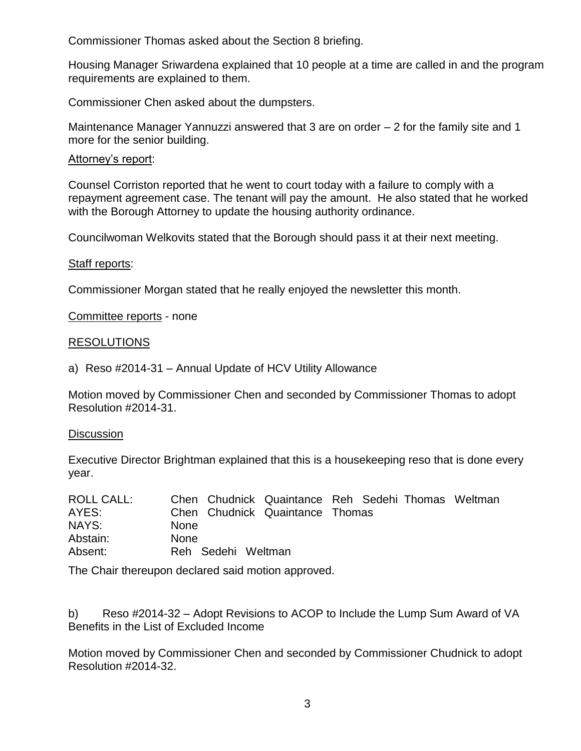Commissioner Thomas asked about the Section 8 briefing.

Housing Manager Sriwardena explained that 10 people at a time are called in and the program requirements are explained to them.

Commissioner Chen asked about the dumpsters.

Maintenance Manager Yannuzzi answered that 3 are on order – 2 for the family site and 1 more for the senior building.

#### Attorney's report:

Counsel Corriston reported that he went to court today with a failure to comply with a repayment agreement case. The tenant will pay the amount. He also stated that he worked with the Borough Attorney to update the housing authority ordinance.

Councilwoman Welkovits stated that the Borough should pass it at their next meeting.

#### Staff reports:

Commissioner Morgan stated that he really enjoyed the newsletter this month.

Committee reports - none

#### RESOLUTIONS

a) Reso #2014-31 – Annual Update of HCV Utility Allowance

Motion moved by Commissioner Chen and seconded by Commissioner Thomas to adopt Resolution #2014-31.

#### **Discussion**

Executive Director Brightman explained that this is a housekeeping reso that is done every year.

| <b>ROLL CALL:</b> | Chen Chudnick Quaintance Reh Sedehi Thomas Weltman |
|-------------------|----------------------------------------------------|
| AYES:             | Chen Chudnick Quaintance Thomas                    |
| NAYS:             | <b>None</b>                                        |
| Abstain:          | <b>None</b>                                        |
| Absent:           | Reh Sedehi Weltman                                 |

The Chair thereupon declared said motion approved.

b) Reso #2014-32 – Adopt Revisions to ACOP to Include the Lump Sum Award of VA Benefits in the List of Excluded Income

Motion moved by Commissioner Chen and seconded by Commissioner Chudnick to adopt Resolution #2014-32.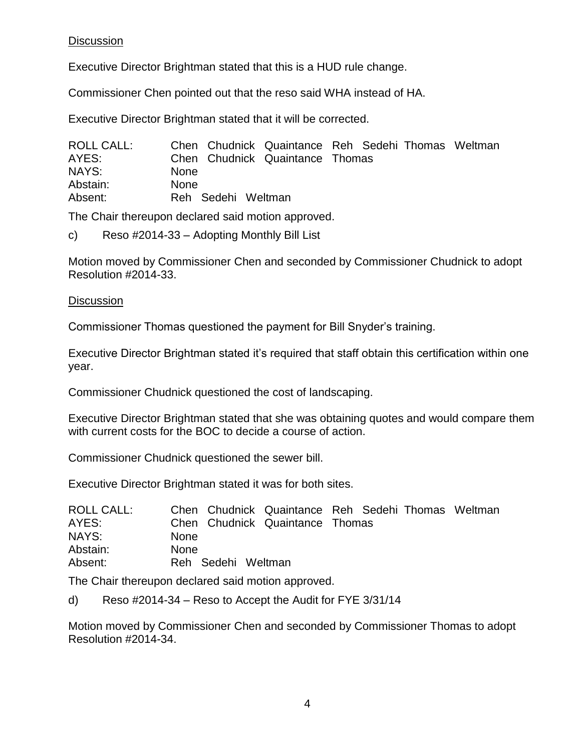# **Discussion**

Executive Director Brightman stated that this is a HUD rule change.

Commissioner Chen pointed out that the reso said WHA instead of HA.

Executive Director Brightman stated that it will be corrected.

| <b>ROLL CALL:</b> | Chen Chudnick Quaintance Reh Sedehi Thomas Weltman |  |  |
|-------------------|----------------------------------------------------|--|--|
| AYES:             | Chen Chudnick Quaintance Thomas                    |  |  |
| NAYS:             | <b>None</b>                                        |  |  |
| Abstain:          | <b>None</b>                                        |  |  |
| Absent:           | Reh Sedehi Weltman                                 |  |  |

The Chair thereupon declared said motion approved.

c) Reso #2014-33 – Adopting Monthly Bill List

Motion moved by Commissioner Chen and seconded by Commissioner Chudnick to adopt Resolution #2014-33.

# **Discussion**

Commissioner Thomas questioned the payment for Bill Snyder's training.

Executive Director Brightman stated it's required that staff obtain this certification within one year.

Commissioner Chudnick questioned the cost of landscaping.

Executive Director Brightman stated that she was obtaining quotes and would compare them with current costs for the BOC to decide a course of action.

Commissioner Chudnick questioned the sewer bill.

Executive Director Brightman stated it was for both sites.

| <b>ROLL CALL:</b> |             |                    | Chen Chudnick Quaintance Reh Sedehi Thomas Weltman |  |  |
|-------------------|-------------|--------------------|----------------------------------------------------|--|--|
| AYES:             |             |                    | Chen Chudnick Quaintance Thomas                    |  |  |
| NAYS:             | <b>None</b> |                    |                                                    |  |  |
| Abstain:          | <b>None</b> |                    |                                                    |  |  |
| Absent:           |             | Reh Sedehi Weltman |                                                    |  |  |

The Chair thereupon declared said motion approved.

d) Reso #2014-34 – Reso to Accept the Audit for FYE 3/31/14

Motion moved by Commissioner Chen and seconded by Commissioner Thomas to adopt Resolution #2014-34.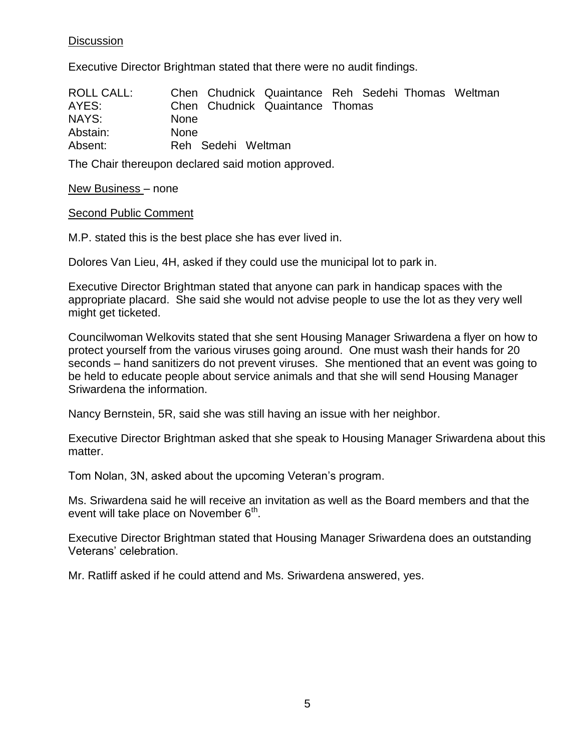# **Discussion**

Executive Director Brightman stated that there were no audit findings.

| ROLL CALL: |             |                    | Chen Chudnick Quaintance Reh Sedehi Thomas Weltman |  |  |
|------------|-------------|--------------------|----------------------------------------------------|--|--|
| AYES:      |             |                    | Chen Chudnick Quaintance Thomas                    |  |  |
| NAYS:      | <b>None</b> |                    |                                                    |  |  |
| Abstain:   | <b>None</b> |                    |                                                    |  |  |
| Absent:    |             | Reh Sedehi Weltman |                                                    |  |  |

The Chair thereupon declared said motion approved.

#### New Business – none

#### Second Public Comment

M.P. stated this is the best place she has ever lived in.

Dolores Van Lieu, 4H, asked if they could use the municipal lot to park in.

Executive Director Brightman stated that anyone can park in handicap spaces with the appropriate placard. She said she would not advise people to use the lot as they very well might get ticketed.

Councilwoman Welkovits stated that she sent Housing Manager Sriwardena a flyer on how to protect yourself from the various viruses going around. One must wash their hands for 20 seconds – hand sanitizers do not prevent viruses. She mentioned that an event was going to be held to educate people about service animals and that she will send Housing Manager Sriwardena the information.

Nancy Bernstein, 5R, said she was still having an issue with her neighbor.

Executive Director Brightman asked that she speak to Housing Manager Sriwardena about this matter.

Tom Nolan, 3N, asked about the upcoming Veteran's program.

Ms. Sriwardena said he will receive an invitation as well as the Board members and that the event will take place on November  $6<sup>th</sup>$ .

Executive Director Brightman stated that Housing Manager Sriwardena does an outstanding Veterans' celebration.

Mr. Ratliff asked if he could attend and Ms. Sriwardena answered, yes.